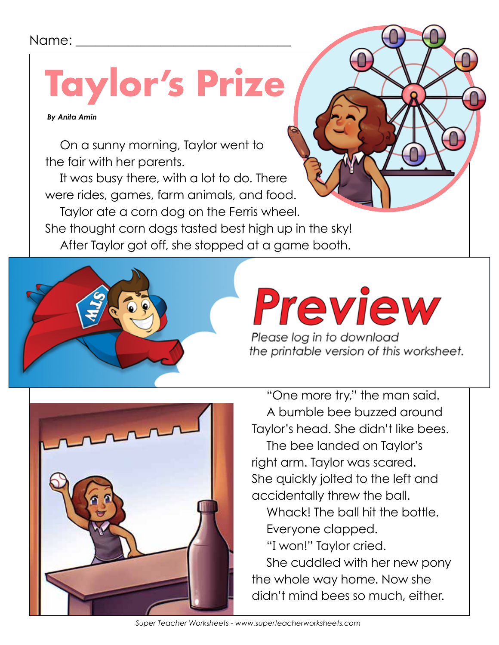#### Name:

## **Taylor's Prize**

 *By Anita Amin*

On a sunny morning, Taylor went to the fair with her parents.

It was busy there, with a lot to do. There were rides, games, farm animals, and food. Taylor ate a corn dog on the Ferris wheel. She thought corn dogs tasted best high up in the sky! After Taylor got off, she stopped at a game booth.



# $\overline{a}$  at all of the prizes. She saw a big brown  $\overline{b}$

Please log in to download the printable version of this worksheet.



"One more try," the man said. A bumble bee buzzed around Taylor's head. She didn't like bees.

The bee landed on Taylor's right arm. Taylor was scared. She quickly jolted to the left and accidentally threw the ball.

Whack! The ball hit the bottle. Everyone clapped.

"I won!" Taylor cried.

She cuddled with her new pony the whole way home. Now she didn't mind bees so much, either.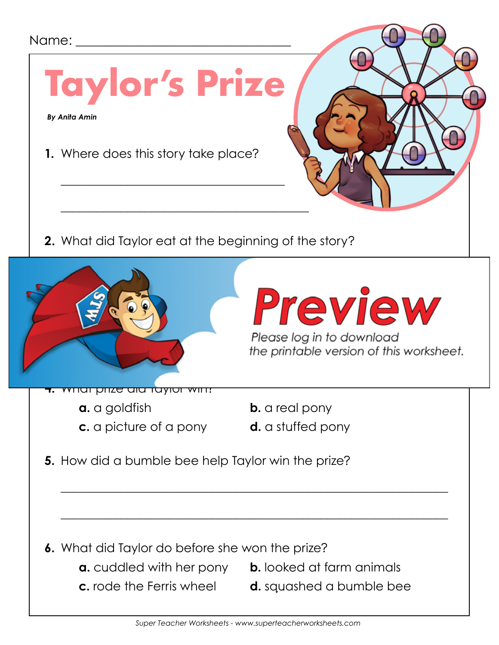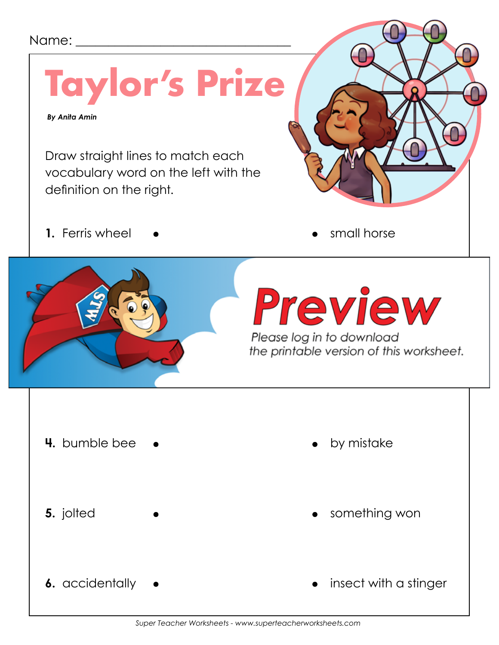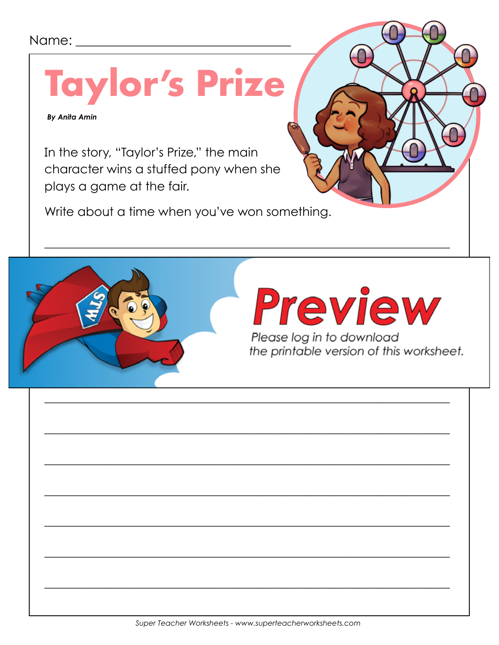#### Name:

**Taylor's Prize** 

**By Anita Amin** 

In the story, "Taylor's Prize," the main character wins a stuffed pony when she plays a game at the fair.

Write about a time when you've won something.

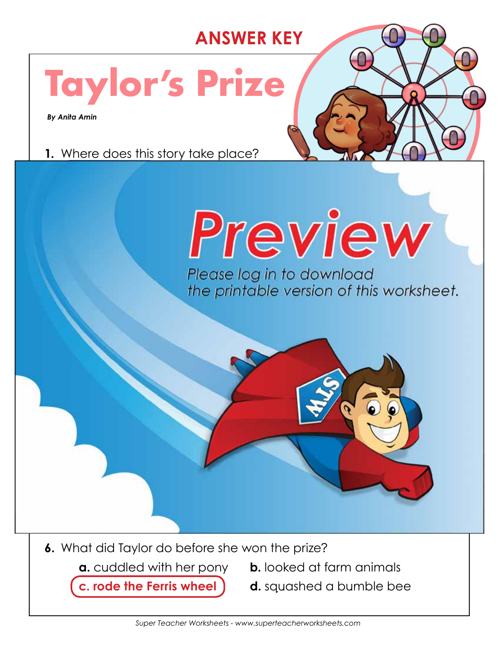### **ANSWER KEY**

## **Taylor's Prize**

 *By Anita Amin*

**1.** Where does this story take place?



**6.** What did Taylor do before she won the prize?

- **a.** cuddled with her pony **b.** looked at farm animals
- **c. rode the Ferris wheel d.** squashed a bumble bee